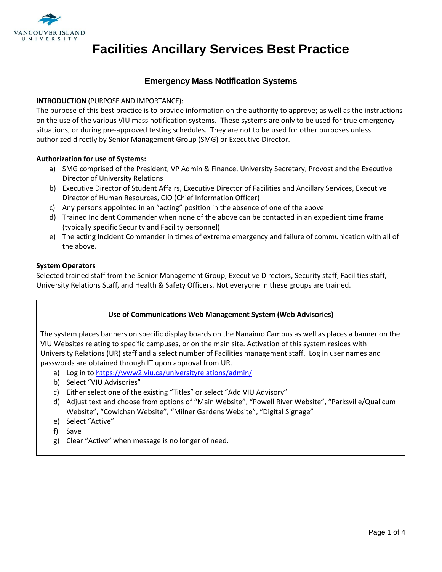

# **Emergency Mass Notification Systems**

### **INTRODUCTION** (PURPOSE AND IMPORTANCE):

The purpose of this best practice is to provide information on the authority to approve; as well as the instructions on the use of the various VIU mass notification systems. These systems are only to be used for true emergency situations, or during pre-approved testing schedules. They are not to be used for other purposes unless authorized directly by Senior Management Group (SMG) or Executive Director.

#### **Authorization for use of Systems:**

- a) SMG comprised of the President, VP Admin & Finance, University Secretary, Provost and the Executive Director of University Relations
- b) Executive Director of Student Affairs, Executive Director of Facilities and Ancillary Services, Executive Director of Human Resources, CIO (Chief Information Officer)
- c) Any persons appointed in an "acting" position in the absence of one of the above
- d) Trained Incident Commander when none of the above can be contacted in an expedient time frame (typically specific Security and Facility personnel)
- e) The acting Incident Commander in times of extreme emergency and failure of communication with all of the above.

#### **System Operators**

Selected trained staff from the Senior Management Group, Executive Directors, Security staff, Facilities staff, University Relations Staff, and Health & Safety Officers. Not everyone in these groups are trained.

# **Use of Communications Web Management System (Web Advisories)**

The system places banners on specific display boards on the Nanaimo Campus as well as places a banner on the VIU Websites relating to specific campuses, or on the main site. Activation of this system resides with University Relations (UR) staff and a select number of Facilities management staff. Log in user names and passwords are obtained through IT upon approval from UR.

- a) Log in to<https://www2.viu.ca/universityrelations/admin/>
- b) Select "VIU Advisories"
- c) Either select one of the existing "Titles" or select "Add VIU Advisory"
- d) Adjust text and choose from options of "Main Website", "Powell River Website", "Parksville/Qualicum Website", "Cowichan Website", "Milner Gardens Website", "Digital Signage"
- e) Select "Active"
- f) Save
- g) Clear "Active" when message is no longer of need.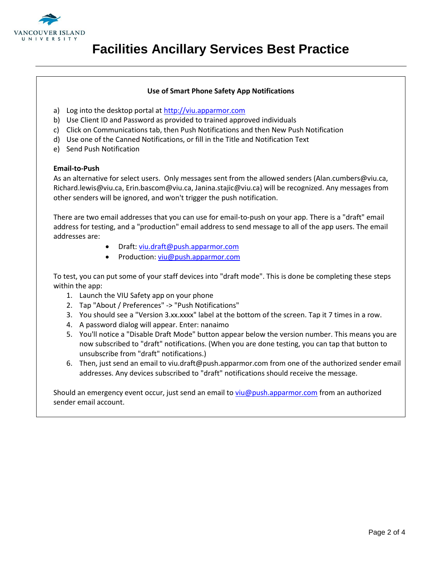

#### **Use of Smart Phone Safety App Notifications**

- a) Log into the desktop portal at [http://viu.apparmor.com](http://viu.apparmor.com/)
- b) Use Client ID and Password as provided to trained approved individuals
- c) Click on Communications tab, then Push Notifications and then New Push Notification
- d) Use one of the Canned Notifications, or fill in the Title and Notification Text
- e) Send Push Notification

#### **Email-to-Push**

As an alternative for select users. Only messages sent from the allowed senders (Alan.cumbers@viu.ca, Richard.lewis@viu.ca, Erin.bascom@viu.ca, Janina.stajic@viu.ca) will be recognized. Any messages from other senders will be ignored, and won't trigger the push notification.

There are two email addresses that you can use for email-to-push on your app. There is a "draft" email address for testing, and a "production" email address to send message to all of the app users. The email addresses are:

- Draft:<viu.draft@push.apparmor.com>
- Production:<viu@push.apparmor.com>

To test, you can put some of your staff devices into "draft mode". This is done be completing these steps within the app:

- 1. Launch the VIU Safety app on your phone
- 2. Tap "About / Preferences" -> "Push Notifications"
- 3. You should see a "Version 3.xx.xxxx" label at the bottom of the screen. Tap it 7 times in a row.
- 4. A password dialog will appear. Enter: nanaimo
- 5. You'll notice a "Disable Draft Mode" button appear below the version number. This means you are now subscribed to "draft" notifications. (When you are done testing, you can tap that button to unsubscribe from "draft" notifications.)
- 6. Then, just send an email to viu.draft@push.apparmor.com from one of the authorized sender email addresses. Any devices subscribed to "draft" notifications should receive the message.

Should an emergency event occur, just send an email to [viu@push.apparmor.com](viu@push.apparmor.com%20) from an authorized sender email account.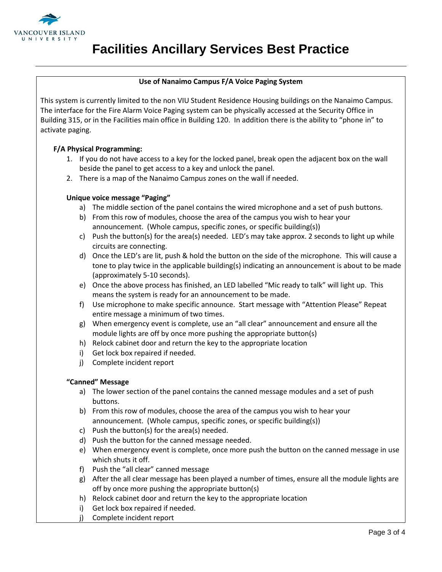

# **Facilities Ancillary Services Best Practice**

# **Use of Nanaimo Campus F/A Voice Paging System**

This system is currently limited to the non VIU Student Residence Housing buildings on the Nanaimo Campus. The interface for the Fire Alarm Voice Paging system can be physically accessed at the Security Office in Building 315, or in the Facilities main office in Building 120. In addition there is the ability to "phone in" to activate paging.

# **F/A Physical Programming:**

- 1. If you do not have access to a key for the locked panel, break open the adjacent box on the wall beside the panel to get access to a key and unlock the panel.
- 2. There is a map of the Nanaimo Campus zones on the wall if needed.

#### **Unique voice message "Paging"**

- a) The middle section of the panel contains the wired microphone and a set of push buttons.
- b) From this row of modules, choose the area of the campus you wish to hear your announcement. (Whole campus, specific zones, or specific building(s))
- c) Push the button(s) for the area(s) needed. LED's may take approx. 2 seconds to light up while circuits are connecting.
- d) Once the LED's are lit, push & hold the button on the side of the microphone. This will cause a tone to play twice in the applicable building(s) indicating an announcement is about to be made (approximately 5-10 seconds).
- e) Once the above process has finished, an LED labelled "Mic ready to talk" will light up. This means the system is ready for an announcement to be made.
- f) Use microphone to make specific announce. Start message with "Attention Please" Repeat entire message a minimum of two times.
- g) When emergency event is complete, use an "all clear" announcement and ensure all the module lights are off by once more pushing the appropriate button(s)
- h) Relock cabinet door and return the key to the appropriate location
- i) Get lock box repaired if needed.
- j) Complete incident report

#### **"Canned" Message**

- a) The lower section of the panel contains the canned message modules and a set of push buttons.
- b) From this row of modules, choose the area of the campus you wish to hear your announcement. (Whole campus, specific zones, or specific building(s))
- c) Push the button(s) for the area(s) needed.
- d) Push the button for the canned message needed.
- e) When emergency event is complete, once more push the button on the canned message in use which shuts it off.
- f) Push the "all clear" canned message
- g) After the all clear message has been played a number of times, ensure all the module lights are off by once more pushing the appropriate button(s)
- h) Relock cabinet door and return the key to the appropriate location
- i) Get lock box repaired if needed.
- j) Complete incident report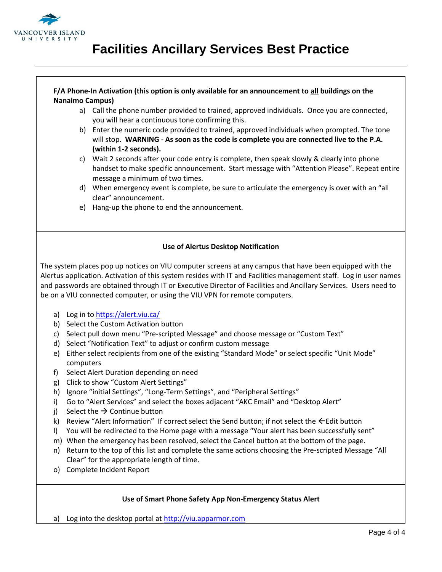

# **Facilities Ancillary Services Best Practice**

### **F/A Phone-In Activation (this option is only available for an announcement to all buildings on the Nanaimo Campus)**

- a) Call the phone number provided to trained, approved individuals. Once you are connected, you will hear a continuous tone confirming this.
- b) Enter the numeric code provided to trained, approved individuals when prompted. The tone will stop. **WARNING - As soon as the code is complete you are connected live to the P.A. (within 1-2 seconds).**
- c) Wait 2 seconds after your code entry is complete, then speak slowly & clearly into phone handset to make specific announcement. Start message with "Attention Please". Repeat entire message a minimum of two times.
- d) When emergency event is complete, be sure to articulate the emergency is over with an "all clear" announcement.
- e) Hang-up the phone to end the announcement.

# **Use of Alertus Desktop Notification**

The system places pop up notices on VIU computer screens at any campus that have been equipped with the Alertus application. Activation of this system resides with IT and Facilities management staff. Log in user names and passwords are obtained through IT or Executive Director of Facilities and Ancillary Services. Users need to be on a VIU connected computer, or using the VIU VPN for remote computers.

- a) Log in to<https://alert.viu.ca/>
- b) Select the Custom Activation button
- c) Select pull down menu "Pre-scripted Message" and choose message or "Custom Text"
- d) Select "Notification Text" to adjust or confirm custom message
- e) Either select recipients from one of the existing "Standard Mode" or select specific "Unit Mode" computers
- f) Select Alert Duration depending on need
- g) Click to show "Custom Alert Settings"
- h) Ignore "initial Settings", "Long-Term Settings", and "Peripheral Settings"
- i) Go to "Alert Services" and select the boxes adjacent "AKC Email" and "Desktop Alert"
- i) Select the  $\rightarrow$  Continue button
- k) Review "Alert Information" If correct select the Send button; if not select the  $\leftarrow$  Edit button
- l) You will be redirected to the Home page with a message "Your alert has been successfully sent"
- m) When the emergency has been resolved, select the Cancel button at the bottom of the page.
- n) Return to the top of this list and complete the same actions choosing the Pre-scripted Message "All Clear" for the appropriate length of time.
- o) Complete Incident Report

# **Use of Smart Phone Safety App Non-Emergency Status Alert**

a) Log into the desktop portal at [http://viu.apparmor.com](http://viu.apparmor.com/)